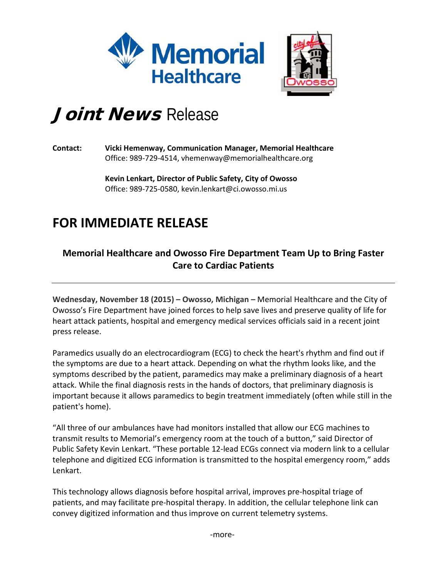



## Joint News Release

## **Contact: Vicki Hemenway, Communication Manager, Memorial Healthcare** Office: 989-729-4514, vhemenway@memorialhealthcare.org

**Kevin Lenkart, Director of Public Safety, City of Owosso** Office: 989-725-0580, kevin.lenkart@ci.owosso.mi.us

## **FOR IMMEDIATE RELEASE**

## **Memorial Healthcare and Owosso Fire Department Team Up to Bring Faster Care to Cardiac Patients**

**Wednesday, November 18 (2015) – Owosso, Michigan –** Memorial Healthcare and the City of Owosso's Fire Department have joined forces to help save lives and preserve quality of life for heart attack patients, hospital and emergency medical services officials said in a recent joint press release.

Paramedics usually do an electrocardiogram (ECG) to check the heart's rhythm and find out if the symptoms are due to a heart attack. Depending on what the rhythm looks like, and the symptoms described by the patient, paramedics may make a preliminary diagnosis of a heart attack. While the final diagnosis rests in the hands of doctors, that preliminary diagnosis is important because it allows paramedics to begin treatment immediately (often while still in the patient's home).

"All three of our ambulances have had monitors installed that allow our ECG machines to transmit results to Memorial's emergency room at the touch of a button," said Director of Public Safety Kevin Lenkart. "These portable 12-lead ECGs connect via modern link to a cellular telephone and digitized ECG information is transmitted to the hospital emergency room," adds Lenkart.

This technology allows diagnosis before hospital arrival, improves pre-hospital triage of patients, and may facilitate pre-hospital therapy. In addition, the cellular telephone link can convey digitized information and thus improve on current telemetry systems.